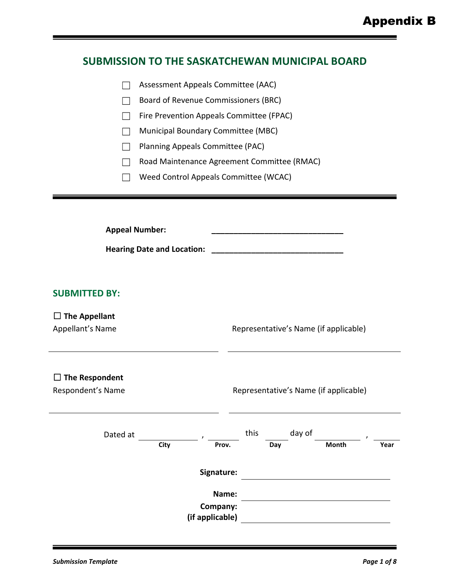#### **SUBMISSION TO THE SASKATCHEWAN MUNICIPAL BOARD**

|  | Assessment Appeals Committee (AAC) |  |
|--|------------------------------------|--|
|--|------------------------------------|--|

☐ Board of Revenue Commissioners (BRC)

□ Fire Prevention Appeals Committee (FPAC)

☐ Municipal Boundary Committee (MBC)

☐ Planning Appeals Committee (PAC)

☐ Road Maintenance Agreement Committee (RMAC)

☐ Weed Control Appeals Committee (WCAC)

**Appeal Number: \_\_\_\_\_\_\_\_\_\_\_\_\_\_\_\_\_\_\_\_\_\_\_\_\_\_\_\_\_\_**

**Hearing Date and Location: \_\_\_\_\_\_\_\_\_\_\_\_\_\_\_\_\_\_\_\_\_\_\_\_\_\_\_\_\_\_**

#### **SUBMITTED BY:**

#### ☐ **The Appellant**

Appellant's Name **Representative's Name (if applicable)** 

#### ☐ **The Respondent**

#### Respondent's Name The Representative's Name (if applicable)

| Dated at |      |                             | this |     | day of |       |      |
|----------|------|-----------------------------|------|-----|--------|-------|------|
|          | City | Prov.                       |      | Day |        | Month | Year |
|          |      | Signature:                  |      |     |        |       |      |
|          |      | Name:                       |      |     |        |       |      |
|          |      | Company:<br>(if applicable) |      |     |        |       |      |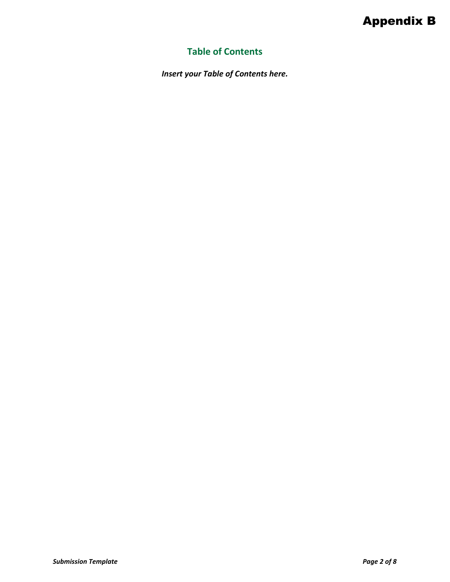# Appendix B

## **Table of Contents**

*Insert your Table of Contents here.*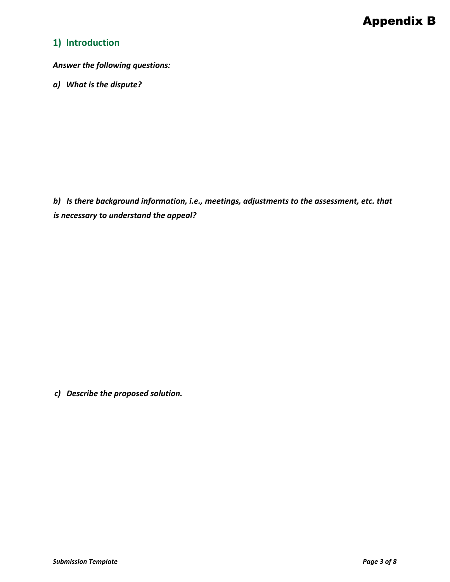## **1) Introduction**

*Answer the following questions:*

*a) What is the dispute?*

*b) Is there background information, i.e., meetings, adjustments to the assessment, etc. that is necessary to understand the appeal?*

*c) Describe the proposed solution.*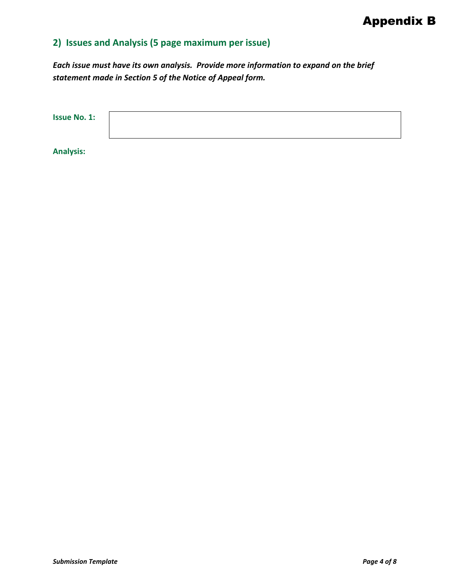# **2) Issues and Analysis (5 page maximum per issue)**

*Each issue must have its own analysis. Provide more information to expand on the brief statement made in Section 5 of the Notice of Appeal form.* 

| <b>Issue No. 1:</b> |  |  |  |
|---------------------|--|--|--|
|                     |  |  |  |

**Analysis:**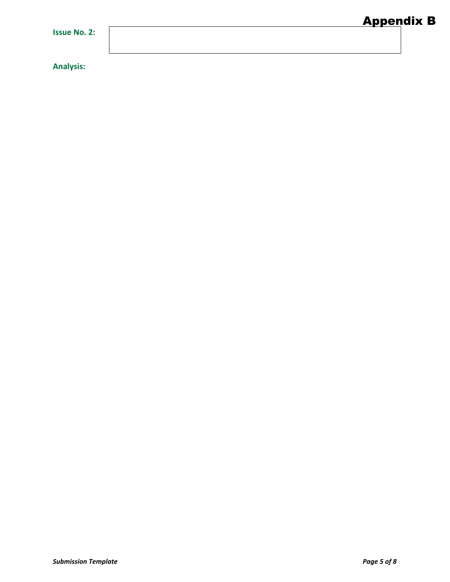**Analysis:**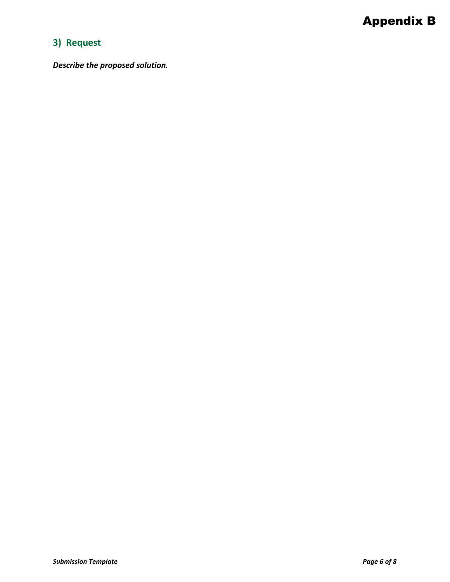## **3) Request**

*Describe the proposed solution.*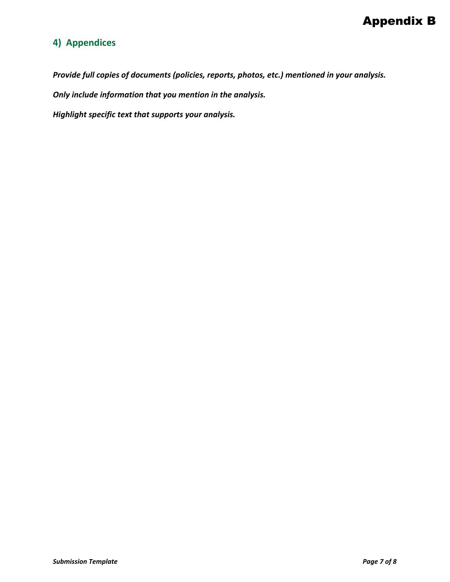## **4) Appendices**

*Provide full copies of documents (policies, reports, photos, etc.) mentioned in your analysis.* 

*Only include information that you mention in the analysis.*

*Highlight specific text that supports your analysis.*